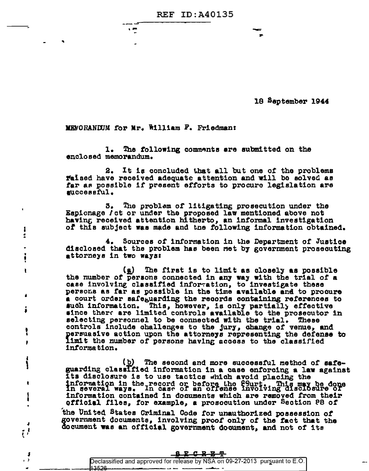**REF ID: A40135** 

18 September 1944

MENORANDUM for Mr. William F. Friedman:

1 Ž,

 $\ddot{\ddot{\textbf{i}}}$ 

ŧ

Ā

į

ŧ

p

ì

٠

۱

 $\bullet$ 

 $\mathfrak{g}^1$ 

 $\pmb{\cdot}$  $\rightarrow$ 

 $\overline{\phantom{a}}$ 

1. The following comments are submitted on the enclosed memorandum.

It is concluded that all but one of the problems 2. Faised have received adequate attention and will be solved as far as possible if present efforts to procure legislation are successful.

The problem of litigating prosecution under the 3. Espionage / ct or under the proposed law mentioned above not having received attention hitherto, an informal investigation of this subject was made and the following information obtained.

Sources of information in the Department of Justice disclosed that the problem has been met by government prosecuting attorneys in two ways:

The first is to limit as closely as possible (g) the number of persons connected in any way with the trial of a case involving classified information, to investigate these persons as far as possible in the time available and to procure a court order safeguarding the records containing references to such information. This, however, is only partially effective since there are limited controls available to the prosecutor in selecting personnel to be connected with the trial. These controls include challenges to the jury, change of venue, and persuasive action upon the attorneys representing the defense to limit the number of persons having access to the classified information.

(b) The second and more successful method of safeguarding classified information in a case enforcing a law against Its disclosure is to use tactics which avoid placing the information in the record or before the fourt. This may be done in several ways. In case of an offense involving disclosure of information contained in documents which are removed from their official files, for example, a prosocution under Section P8 of

the United States Criminal Code for unauthorized possession of government documents, involving proof only of the fact that the document was an official government document, and not of its

| <u>ይደርጉን</u> ም                                                              |  |
|-----------------------------------------------------------------------------|--|
| Declassified and approved for release by NSA on 09-27-2013 pursuant to E.O. |  |
|                                                                             |  |